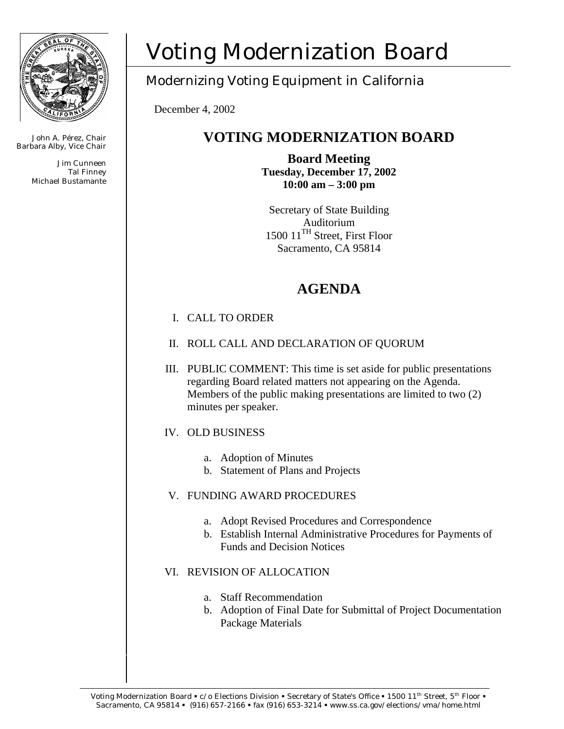

John A. Pérez, Chair Barbara Alby, Vice Chair

> Jim Cunneen Tal Finney Michael Bustamante

# Voting Modernization Board

# Modernizing Voting Equipment in California

December 4, 2002

# **VOTING MODERNIZATION BOARD**

**Board Meeting Tuesday, December 17, 2002 10:00 am – 3:00 pm** 

Secretary of State Building Auditorium 1500 11TH Street, First Floor Sacramento, CA 95814

# **AGENDA**

## I. CALL TO ORDER

- II. ROLL CALL AND DECLARATION OF QUORUM
- III. PUBLIC COMMENT: This time is set aside for public presentations regarding Board related matters not appearing on the Agenda. Members of the public making presentations are limited to two (2) minutes per speaker.

## IV. OLD BUSINESS

- a. Adoption of Minutes
- b. Statement of Plans and Projects

## V. FUNDING AWARD PROCEDURES

- a. Adopt Revised Procedures and Correspondence
- b. Establish Internal Administrative Procedures for Payments of Funds and Decision Notices

## VI. REVISION OF ALLOCATION

- a. Staff Recommendation
- b. Adoption of Final Date for Submittal of Project Documentation Package Materials